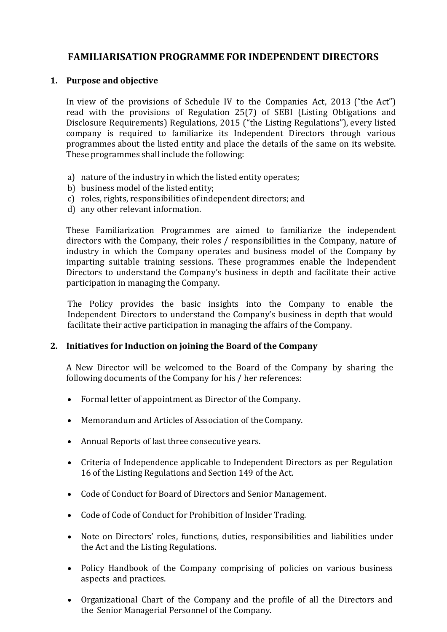# **FAMILIARISATION PROGRAMME FOR INDEPENDENT DIRECTORS**

## **1. Purpose and objective**

In view of the provisions of Schedule IV to the Companies Act, 2013 ("the Act") read with the provisions of Regulation 25(7) of SEBI (Listing Obligations and Disclosure Requirements) Regulations, 2015 ("the Listing Regulations"), every listed company is required to familiarize its Independent Directors through various programmes about the listed entity and place the details of the same on its website. These programmes shall include the following:

- a) nature of the industry in which the listed entity operates;
- b) business model of the listed entity;
- c) roles, rights, responsibilities of independent directors; and
- d) any other relevant information.

These Familiarization Programmes are aimed to familiarize the independent directors with the Company, their roles / responsibilities in the Company, nature of industry in which the Company operates and business model of the Company by imparting suitable training sessions. These programmes enable the Independent Directors to understand the Company's business in depth and facilitate their active participation in managing the Company.

The Policy provides the basic insights into the Company to enable the Independent Directors to understand the Company's business in depth that would facilitate their active participation in managing the affairs of the Company.

## **2. Initiatives for Induction on joining the Board of the Company**

A New Director will be welcomed to the Board of the Company by sharing the following documents of the Company for his / her references:

- Formal letter of appointment as Director of the Company.
- Memorandum and Articles of Association of the Company.
- Annual Reports of last three consecutive years.
- Criteria of Independence applicable to Independent Directors as per Regulation 16 of the Listing Regulations and Section 149 of the Act.
- Code of Conduct for Board of Directors and Senior Management.
- Code of Code of Conduct for Prohibition of Insider Trading.
- Note on Directors' roles, functions, duties, responsibilities and liabilities under the Act and the Listing Regulations.
- Policy Handbook of the Company comprising of policies on various business aspects and practices.
- Organizational Chart of the Company and the profile of all the Directors and the Senior Managerial Personnel of the Company.